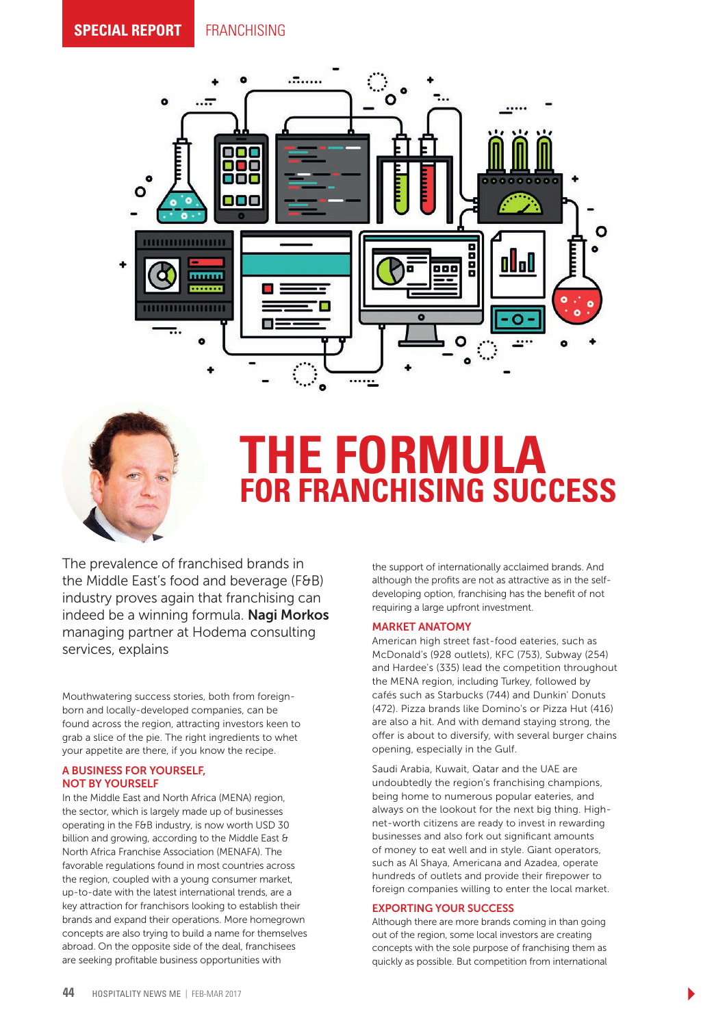



# **THE FORMULA FOR FRANCHISING SUCCESS**

The prevalence of franchised brands in the Middle East's food and beverage (F&B) industry proves again that franchising can indeed be a winning formula. Nagi Morkos managing partner at Hodema consulting services, explains

Mouthwatering success stories, both from foreignborn and locally-developed companies, can be found across the region, attracting investors keen to grab a slice of the pie. The right ingredients to whet your appetite are there, if you know the recipe.

### A BUSINESS FOR YOURSELF, NOT BY YOURSELF

In the Middle East and North Africa (MENA) region, the sector, which is largely made up of businesses operating in the F&B industry, is now worth USD 30 billion and growing, according to the Middle East & North Africa Franchise Association (MENAFA). The favorable regulations found in most countries across the region, coupled with a young consumer market, up-to-date with the latest international trends, are a key attraction for franchisors looking to establish their brands and expand their operations. More homegrown concepts are also trying to build a name for themselves abroad. On the opposite side of the deal, franchisees are seeking profitable business opportunities with

the support of internationally acclaimed brands. And although the profits are not as attractive as in the selfdeveloping option, franchising has the benefit of not requiring a large upfront investment.

#### MARKET ANATOMY

American high street fast-food eateries, such as McDonald's (928 outlets), KFC (753), Subway (254) and Hardee's (335) lead the competition throughout the MENA region, including Turkey, followed by cafés such as Starbucks (744) and Dunkin' Donuts (472). Pizza brands like Domino's or Pizza Hut (416) are also a hit. And with demand staying strong, the offer is about to diversify, with several burger chains opening, especially in the Gulf.

Saudi Arabia, Kuwait, Qatar and the UAE are undoubtedly the region's franchising champions, being home to numerous popular eateries, and always on the lookout for the next big thing. Highnet-worth citizens are ready to invest in rewarding businesses and also fork out significant amounts of money to eat well and in style. Giant operators, such as Al Shaya, Americana and Azadea, operate hundreds of outlets and provide their firepower to foreign companies willing to enter the local market.

#### EXPORTING YOUR SUCCESS

Although there are more brands coming in than going out of the region, some local investors are creating concepts with the sole purpose of franchising them as quickly as possible. But competition from international